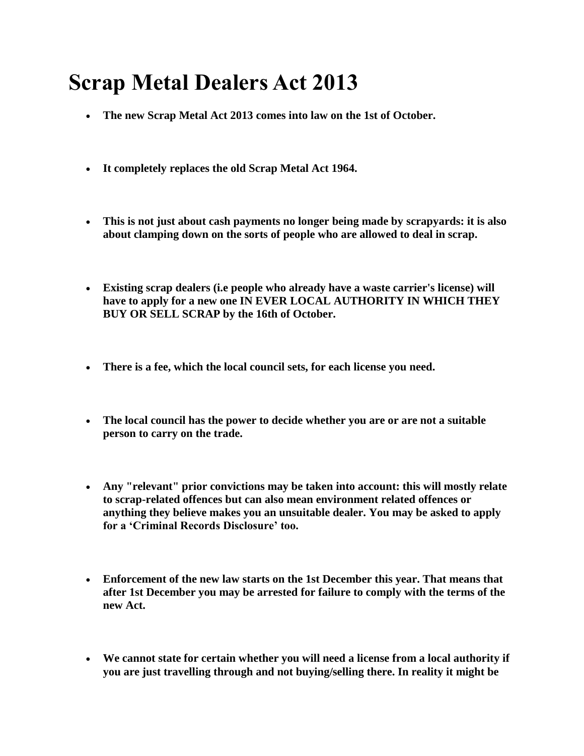## **Scrap Metal Dealers Act 2013**

- **The new Scrap Metal Act 2013 comes into law on the 1st of October.**
- **It completely replaces the old Scrap Metal Act 1964.**
- **This is not just about cash payments no longer being made by scrapyards: it is also about clamping down on the sorts of people who are allowed to deal in scrap.**
- **Existing scrap dealers (i.e people who already have a waste carrier's license) will have to apply for a new one IN EVER LOCAL AUTHORITY IN WHICH THEY BUY OR SELL SCRAP by the 16th of October.**
- **There is a fee, which the local council sets, for each license you need.**
- **The local council has the power to decide whether you are or are not a suitable person to carry on the trade.**
- **Any "relevant" prior convictions may be taken into account: this will mostly relate to scrap-related offences but can also mean environment related offences or anything they believe makes you an unsuitable dealer. You may be asked to apply for a 'Criminal Records Disclosure' too.**
- **Enforcement of the new law starts on the 1st December this year. That means that after 1st December you may be arrested for failure to comply with the terms of the new Act.**
- **We cannot state for certain whether you will need a license from a local authority if you are just travelling through and not buying/selling there. In reality it might be**